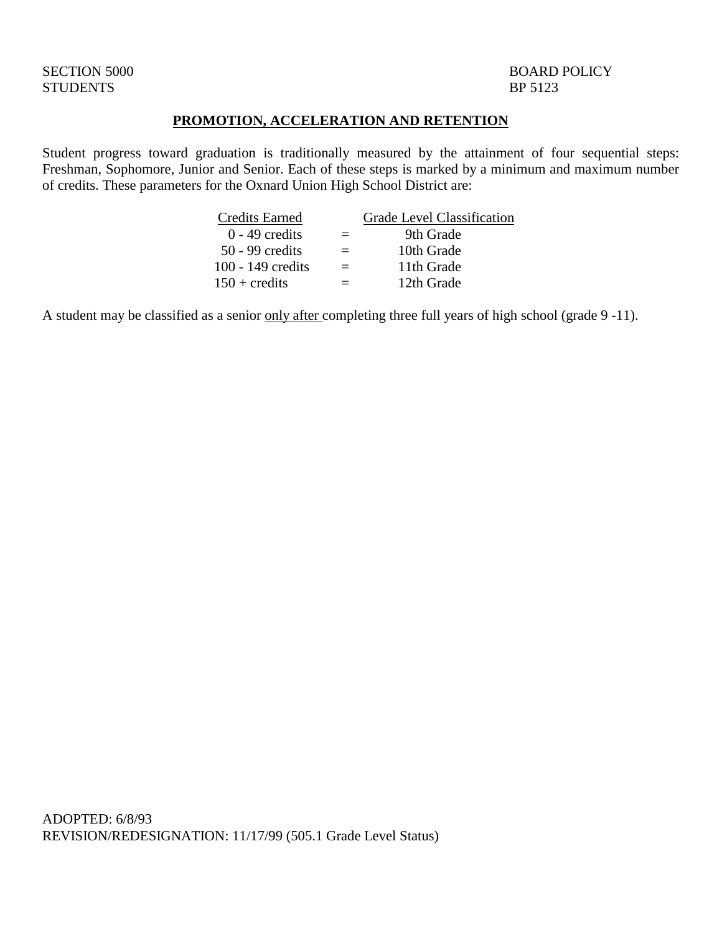### STUDENTS BP 5123

SECTION 5000 BOARD POLICY

### **PROMOTION, ACCELERATION AND RETENTION**

Student progress toward graduation is traditionally measured by the attainment of four sequential steps: Freshman, Sophomore, Junior and Senior. Each of these steps is marked by a minimum and maximum number of credits. These parameters for the Oxnard Union High School District are:

| <b>Credits Earned</b>  | <b>Grade Level Classification</b> |
|------------------------|-----------------------------------|
| $0 - 49$ credits       | 9th Grade                         |
| $50 - 99$ credits      | 10th Grade                        |
| $100 - 149$ credits    | 11th Grade                        |
| $150 + \text{credits}$ | 12th Grade                        |
|                        |                                   |

A student may be classified as a senior only after completing three full years of high school (grade 9 -11).